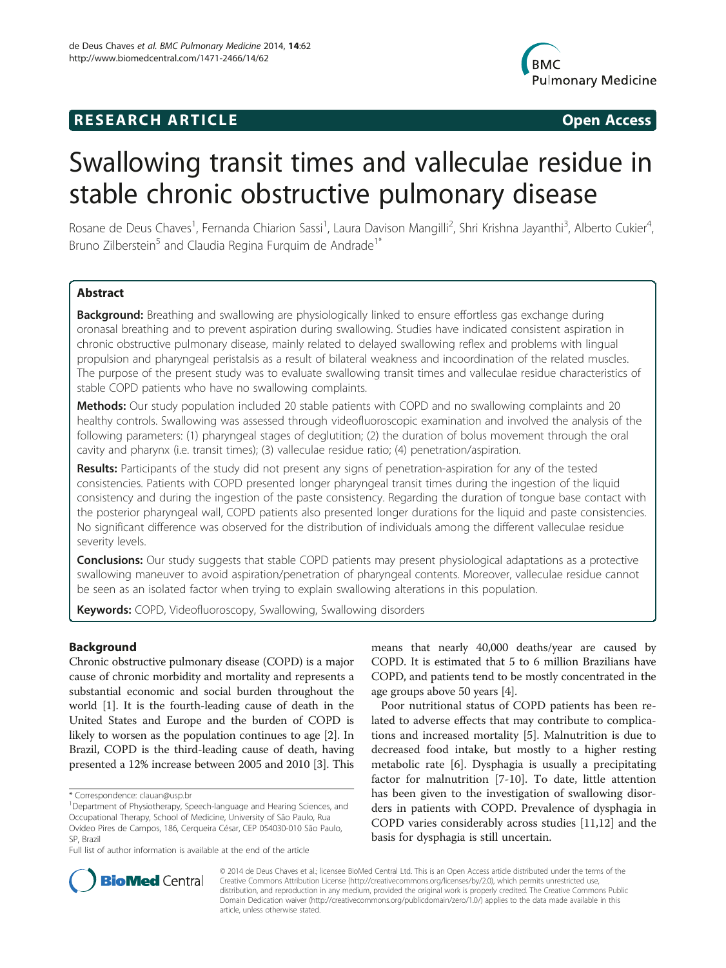## **RESEARCH ARTICLE Example 2018 12:00 Open Access**



# Swallowing transit times and valleculae residue in stable chronic obstructive pulmonary disease

Rosane de Deus Chaves<sup>1</sup>, Fernanda Chiarion Sassi<sup>1</sup>, Laura Davison Mangilli<sup>2</sup>, Shri Krishna Jayanthi<sup>3</sup>, Alberto Cukier<sup>4</sup> , Bruno Zilberstein<sup>5</sup> and Claudia Regina Furguim de Andrade<sup>1\*</sup>

## **Abstract**

**Background:** Breathing and swallowing are physiologically linked to ensure effortless gas exchange during oronasal breathing and to prevent aspiration during swallowing. Studies have indicated consistent aspiration in chronic obstructive pulmonary disease, mainly related to delayed swallowing reflex and problems with lingual propulsion and pharyngeal peristalsis as a result of bilateral weakness and incoordination of the related muscles. The purpose of the present study was to evaluate swallowing transit times and valleculae residue characteristics of stable COPD patients who have no swallowing complaints.

Methods: Our study population included 20 stable patients with COPD and no swallowing complaints and 20 healthy controls. Swallowing was assessed through videofluoroscopic examination and involved the analysis of the following parameters: (1) pharyngeal stages of deglutition; (2) the duration of bolus movement through the oral cavity and pharynx (i.e. transit times); (3) valleculae residue ratio; (4) penetration/aspiration.

Results: Participants of the study did not present any signs of penetration-aspiration for any of the tested consistencies. Patients with COPD presented longer pharyngeal transit times during the ingestion of the liquid consistency and during the ingestion of the paste consistency. Regarding the duration of tongue base contact with the posterior pharyngeal wall, COPD patients also presented longer durations for the liquid and paste consistencies. No significant difference was observed for the distribution of individuals among the different valleculae residue severity levels.

**Conclusions:** Our study suggests that stable COPD patients may present physiological adaptations as a protective swallowing maneuver to avoid aspiration/penetration of pharyngeal contents. Moreover, valleculae residue cannot be seen as an isolated factor when trying to explain swallowing alterations in this population.

Keywords: COPD, Videofluoroscopy, Swallowing, Swallowing disorders

## Background

Chronic obstructive pulmonary disease (COPD) is a major cause of chronic morbidity and mortality and represents a substantial economic and social burden throughout the world [\[1\]](#page-7-0). It is the fourth-leading cause of death in the United States and Europe and the burden of COPD is likely to worsen as the population continues to age [[2\]](#page-7-0). In Brazil, COPD is the third-leading cause of death, having presented a 12% increase between 2005 and 2010 [\[3\]](#page-7-0). This

means that nearly 40,000 deaths/year are caused by COPD. It is estimated that 5 to 6 million Brazilians have COPD, and patients tend to be mostly concentrated in the age groups above 50 years [\[4](#page-7-0)].

Poor nutritional status of COPD patients has been related to adverse effects that may contribute to complications and increased mortality [\[5](#page-7-0)]. Malnutrition is due to decreased food intake, but mostly to a higher resting metabolic rate [[6\]](#page-7-0). Dysphagia is usually a precipitating factor for malnutrition [\[7](#page-7-0)-[10\]](#page-7-0). To date, little attention has been given to the investigation of swallowing disorders in patients with COPD. Prevalence of dysphagia in COPD varies considerably across studies [\[11,12\]](#page-7-0) and the basis for dysphagia is still uncertain.



© 2014 de Deus Chaves et al.; licensee BioMed Central Ltd. This is an Open Access article distributed under the terms of the Creative Commons Attribution License (<http://creativecommons.org/licenses/by/2.0>), which permits unrestricted use, distribution, and reproduction in any medium, provided the original work is properly credited. The Creative Commons Public Domain Dedication waiver [\(http://creativecommons.org/publicdomain/zero/1.0/\)](http://creativecommons.org/publicdomain/zero/1.0/) applies to the data made available in this article, unless otherwise stated.

<sup>\*</sup> Correspondence: [clauan@usp.br](mailto:clauan@usp.br) <sup>1</sup>

<sup>&</sup>lt;sup>1</sup>Department of Physiotherapy, Speech-language and Hearing Sciences, and Occupational Therapy, School of Medicine, University of São Paulo, Rua Ovídeo Pires de Campos, 186, Cerqueira César, CEP 054030-010 São Paulo, SP, Brazil

Full list of author information is available at the end of the article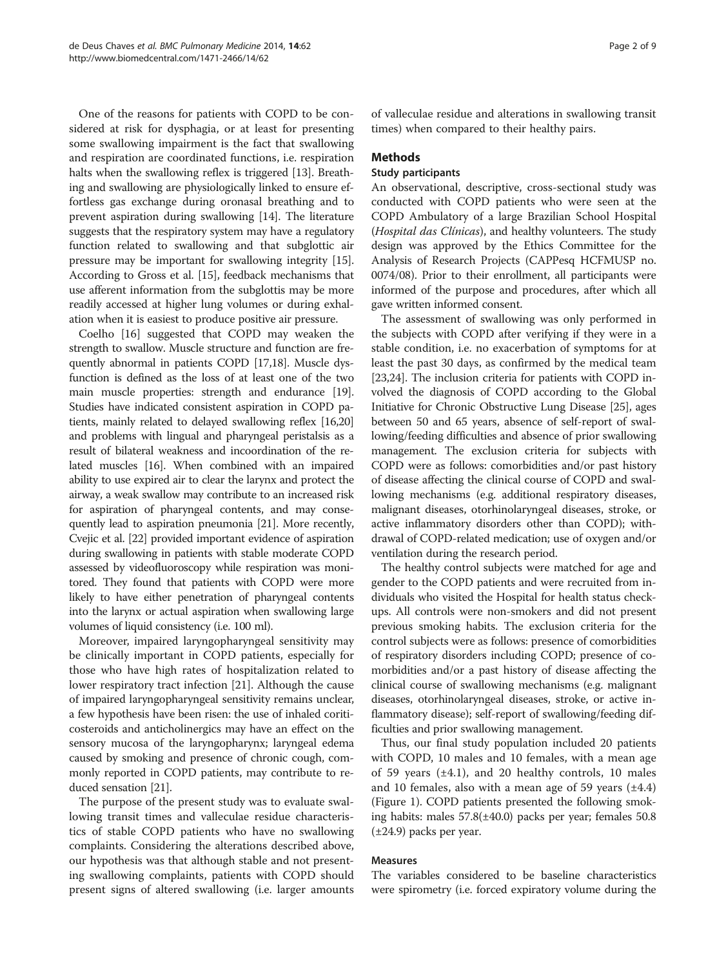One of the reasons for patients with COPD to be considered at risk for dysphagia, or at least for presenting some swallowing impairment is the fact that swallowing and respiration are coordinated functions, i.e. respiration halts when the swallowing reflex is triggered [[13](#page-7-0)]. Breathing and swallowing are physiologically linked to ensure effortless gas exchange during oronasal breathing and to prevent aspiration during swallowing [\[14](#page-7-0)]. The literature suggests that the respiratory system may have a regulatory function related to swallowing and that subglottic air pressure may be important for swallowing integrity [[15](#page-7-0)]. According to Gross et al. [\[15](#page-7-0)], feedback mechanisms that use afferent information from the subglottis may be more readily accessed at higher lung volumes or during exhalation when it is easiest to produce positive air pressure.

Coelho [\[16](#page-7-0)] suggested that COPD may weaken the strength to swallow. Muscle structure and function are frequently abnormal in patients COPD [\[17,18](#page-7-0)]. Muscle dysfunction is defined as the loss of at least one of the two main muscle properties: strength and endurance [\[19](#page-7-0)]. Studies have indicated consistent aspiration in COPD patients, mainly related to delayed swallowing reflex [\[16,](#page-7-0)[20](#page-8-0)] and problems with lingual and pharyngeal peristalsis as a result of bilateral weakness and incoordination of the related muscles [[16](#page-7-0)]. When combined with an impaired ability to use expired air to clear the larynx and protect the airway, a weak swallow may contribute to an increased risk for aspiration of pharyngeal contents, and may consequently lead to aspiration pneumonia [\[21](#page-8-0)]. More recently, Cvejic et al. [\[22\]](#page-8-0) provided important evidence of aspiration during swallowing in patients with stable moderate COPD assessed by videofluoroscopy while respiration was monitored. They found that patients with COPD were more likely to have either penetration of pharyngeal contents into the larynx or actual aspiration when swallowing large volumes of liquid consistency (i.e. 100 ml).

Moreover, impaired laryngopharyngeal sensitivity may be clinically important in COPD patients, especially for those who have high rates of hospitalization related to lower respiratory tract infection [[21\]](#page-8-0). Although the cause of impaired laryngopharyngeal sensitivity remains unclear, a few hypothesis have been risen: the use of inhaled coriticosteroids and anticholinergics may have an effect on the sensory mucosa of the laryngopharynx; laryngeal edema caused by smoking and presence of chronic cough, commonly reported in COPD patients, may contribute to reduced sensation [\[21](#page-8-0)].

The purpose of the present study was to evaluate swallowing transit times and valleculae residue characteristics of stable COPD patients who have no swallowing complaints. Considering the alterations described above, our hypothesis was that although stable and not presenting swallowing complaints, patients with COPD should present signs of altered swallowing (i.e. larger amounts of valleculae residue and alterations in swallowing transit times) when compared to their healthy pairs.

## Methods

## Study participants

An observational, descriptive, cross-sectional study was conducted with COPD patients who were seen at the COPD Ambulatory of a large Brazilian School Hospital (Hospital das Clínicas), and healthy volunteers. The study design was approved by the Ethics Committee for the Analysis of Research Projects (CAPPesq HCFMUSP no. 0074/08). Prior to their enrollment, all participants were informed of the purpose and procedures, after which all gave written informed consent.

The assessment of swallowing was only performed in the subjects with COPD after verifying if they were in a stable condition, i.e. no exacerbation of symptoms for at least the past 30 days, as confirmed by the medical team [[23](#page-8-0),[24](#page-8-0)]. The inclusion criteria for patients with COPD involved the diagnosis of COPD according to the Global Initiative for Chronic Obstructive Lung Disease [[25](#page-8-0)], ages between 50 and 65 years, absence of self-report of swallowing/feeding difficulties and absence of prior swallowing management. The exclusion criteria for subjects with COPD were as follows: comorbidities and/or past history of disease affecting the clinical course of COPD and swallowing mechanisms (e.g. additional respiratory diseases, malignant diseases, otorhinolaryngeal diseases, stroke, or active inflammatory disorders other than COPD); withdrawal of COPD-related medication; use of oxygen and/or ventilation during the research period.

The healthy control subjects were matched for age and gender to the COPD patients and were recruited from individuals who visited the Hospital for health status checkups. All controls were non-smokers and did not present previous smoking habits. The exclusion criteria for the control subjects were as follows: presence of comorbidities of respiratory disorders including COPD; presence of comorbidities and/or a past history of disease affecting the clinical course of swallowing mechanisms (e.g. malignant diseases, otorhinolaryngeal diseases, stroke, or active inflammatory disease); self-report of swallowing/feeding difficulties and prior swallowing management.

Thus, our final study population included 20 patients with COPD, 10 males and 10 females, with a mean age of 59 years  $(\pm 4.1)$ , and 20 healthy controls, 10 males and 10 females, also with a mean age of 59 years  $(\pm 4.4)$ (Figure [1](#page-2-0)). COPD patients presented the following smoking habits: males 57.8(±40.0) packs per year; females 50.8  $(\pm 24.9)$  packs per year.

## Measures

The variables considered to be baseline characteristics were spirometry (i.e. forced expiratory volume during the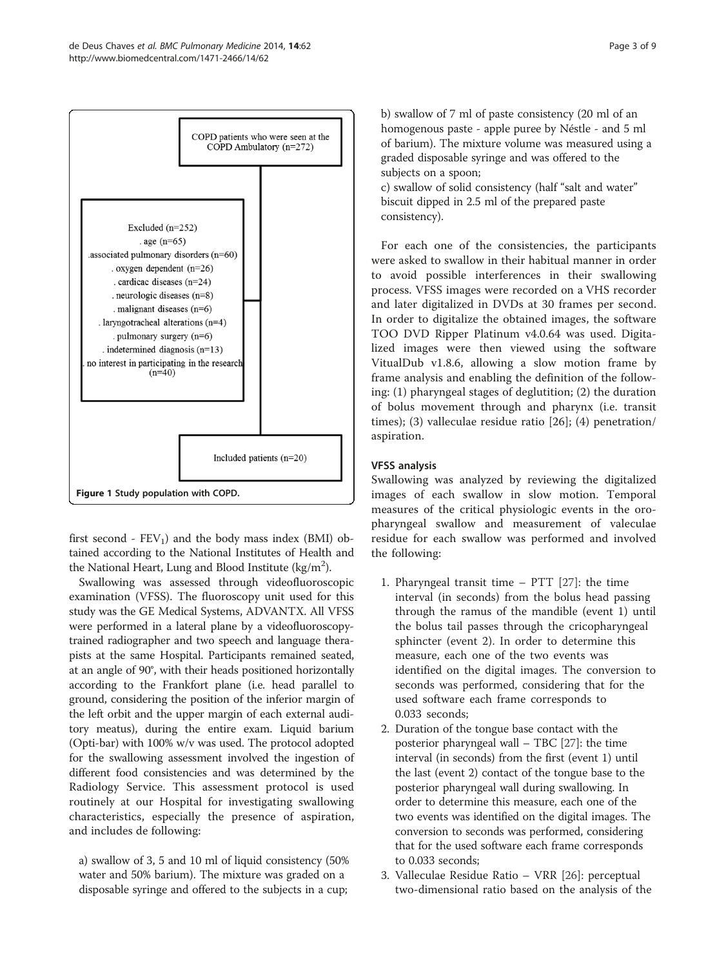<span id="page-2-0"></span>

first second -  $FEV_1$ ) and the body mass index (BMI) obtained according to the National Institutes of Health and the National Heart, Lung and Blood Institute (kg/m<sup>2</sup>).

Swallowing was assessed through videofluoroscopic examination (VFSS). The fluoroscopy unit used for this study was the GE Medical Systems, ADVANTX. All VFSS were performed in a lateral plane by a videofluoroscopytrained radiographer and two speech and language therapists at the same Hospital. Participants remained seated, at an angle of 90°, with their heads positioned horizontally according to the Frankfort plane (i.e. head parallel to ground, considering the position of the inferior margin of the left orbit and the upper margin of each external auditory meatus), during the entire exam. Liquid barium (Opti-bar) with 100% w/v was used. The protocol adopted for the swallowing assessment involved the ingestion of different food consistencies and was determined by the Radiology Service. This assessment protocol is used routinely at our Hospital for investigating swallowing characteristics, especially the presence of aspiration, and includes de following:

a) swallow of 3, 5 and 10 ml of liquid consistency (50% water and 50% barium). The mixture was graded on a disposable syringe and offered to the subjects in a cup;

b) swallow of 7 ml of paste consistency (20 ml of an homogenous paste - apple puree by Néstle - and 5 ml of barium). The mixture volume was measured using a graded disposable syringe and was offered to the subjects on a spoon;

c) swallow of solid consistency (half "salt and water" biscuit dipped in 2.5 ml of the prepared paste consistency).

For each one of the consistencies, the participants were asked to swallow in their habitual manner in order to avoid possible interferences in their swallowing process. VFSS images were recorded on a VHS recorder and later digitalized in DVDs at 30 frames per second. In order to digitalize the obtained images, the software TOO DVD Ripper Platinum v4.0.64 was used. Digitalized images were then viewed using the software VitualDub v1.8.6, allowing a slow motion frame by frame analysis and enabling the definition of the following: (1) pharyngeal stages of deglutition; (2) the duration of bolus movement through and pharynx (i.e. transit times); (3) valleculae residue ratio [[26\]](#page-8-0); (4) penetration/ aspiration.

## VFSS analysis

Swallowing was analyzed by reviewing the digitalized images of each swallow in slow motion. Temporal measures of the critical physiologic events in the oropharyngeal swallow and measurement of valeculae residue for each swallow was performed and involved the following:

- 1. Pharyngeal transit time PTT [[27](#page-8-0)]: the time interval (in seconds) from the bolus head passing through the ramus of the mandible (event 1) until the bolus tail passes through the cricopharyngeal sphincter (event 2). In order to determine this measure, each one of the two events was identified on the digital images. The conversion to seconds was performed, considering that for the used software each frame corresponds to 0.033 seconds;
- 2. Duration of the tongue base contact with the posterior pharyngeal wall – TBC [\[27\]](#page-8-0): the time interval (in seconds) from the first (event 1) until the last (event 2) contact of the tongue base to the posterior pharyngeal wall during swallowing. In order to determine this measure, each one of the two events was identified on the digital images. The conversion to seconds was performed, considering that for the used software each frame corresponds to 0.033 seconds;
- 3. Valleculae Residue Ratio VRR [[26\]](#page-8-0): perceptual two-dimensional ratio based on the analysis of the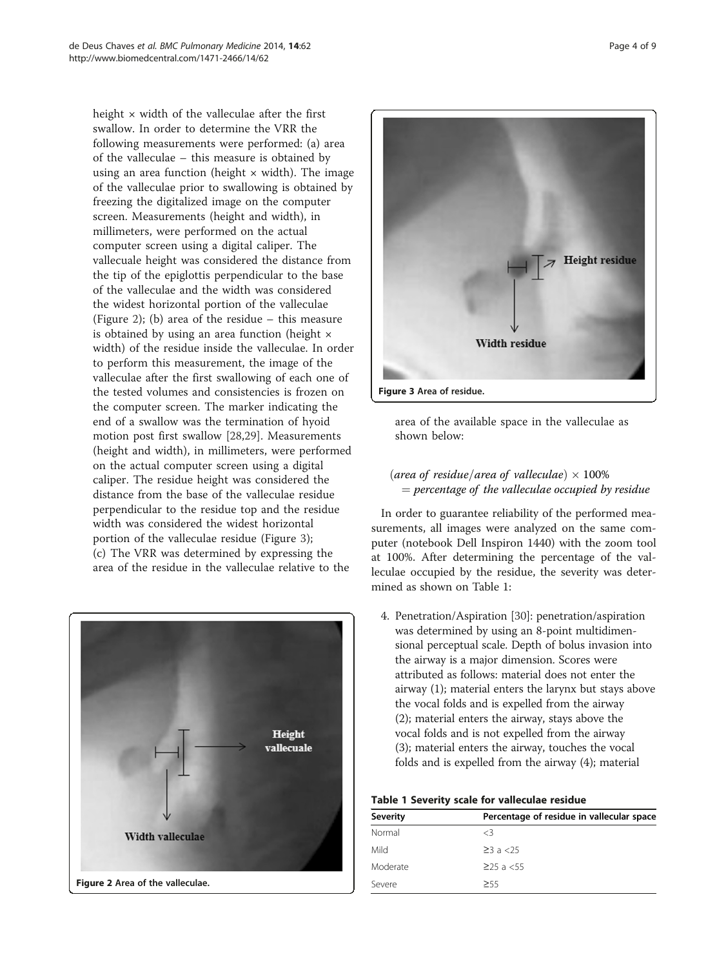height  $\times$  width of the valleculae after the first swallow. In order to determine the VRR the following measurements were performed: (a) area of the valleculae – this measure is obtained by using an area function (height  $\times$  width). The image of the valleculae prior to swallowing is obtained by freezing the digitalized image on the computer screen. Measurements (height and width), in millimeters, were performed on the actual computer screen using a digital caliper. The vallecuale height was considered the distance from the tip of the epiglottis perpendicular to the base of the valleculae and the width was considered the widest horizontal portion of the valleculae (Figure 2); (b) area of the residue – this measure is obtained by using an area function (height  $\times$ width) of the residue inside the valleculae. In order to perform this measurement, the image of the valleculae after the first swallowing of each one of the tested volumes and consistencies is frozen on the computer screen. The marker indicating the end of a swallow was the termination of hyoid motion post first swallow [[28,29\]](#page-8-0). Measurements (height and width), in millimeters, were performed on the actual computer screen using a digital caliper. The residue height was considered the distance from the base of the valleculae residue perpendicular to the residue top and the residue width was considered the widest horizontal portion of the valleculae residue (Figure 3); (c) The VRR was determined by expressing the area of the residue in the valleculae relative to the





area of the available space in the valleculae as shown below:

## (area of residue/area of valleculae)  $\times$  100%  $=$  percentage of the valleculae occupied by residue

In order to guarantee reliability of the performed measurements, all images were analyzed on the same computer (notebook Dell Inspiron 1440) with the zoom tool at 100%. After determining the percentage of the valleculae occupied by the residue, the severity was determined as shown on Table 1:

4. Penetration/Aspiration [\[30\]](#page-8-0): penetration/aspiration was determined by using an 8-point multidimensional perceptual scale. Depth of bolus invasion into the airway is a major dimension. Scores were attributed as follows: material does not enter the airway (1); material enters the larynx but stays above the vocal folds and is expelled from the airway (2); material enters the airway, stays above the vocal folds and is not expelled from the airway (3); material enters the airway, touches the vocal folds and is expelled from the airway (4); material

|  |  |  |  |  | Table 1 Severity scale for valleculae residue |  |
|--|--|--|--|--|-----------------------------------------------|--|
|--|--|--|--|--|-----------------------------------------------|--|

| <b>Severity</b> | Percentage of residue in vallecular space |
|-----------------|-------------------------------------------|
| Normal          | <3                                        |
| Mild            | ≥3a < 25                                  |
| Moderate        | $≥$ 25 a <55                              |
| Severe          | >55                                       |
|                 |                                           |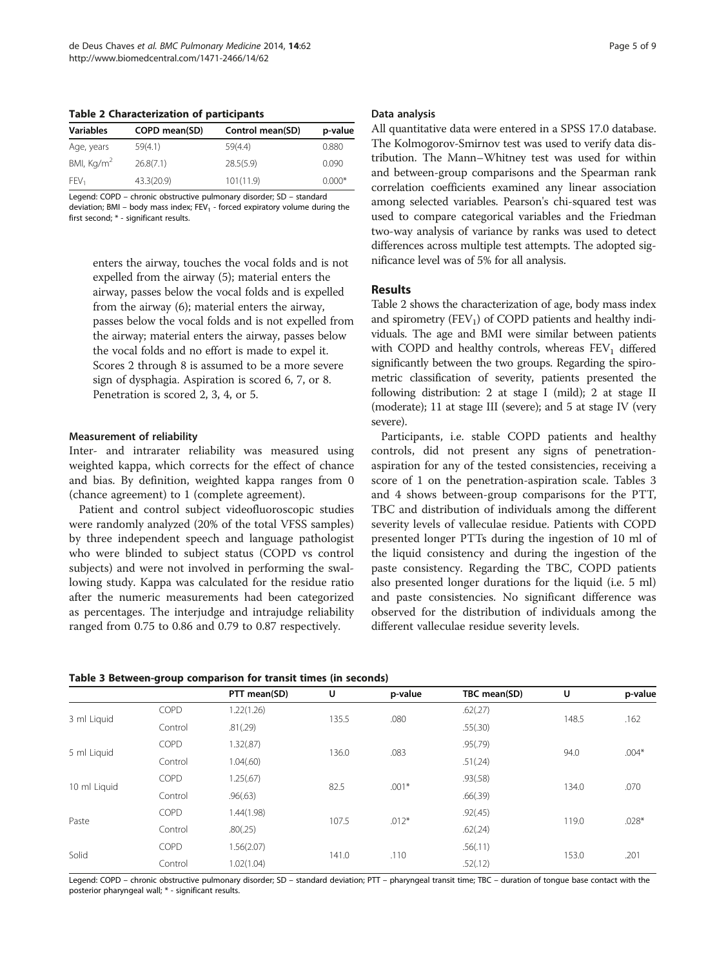Table 2 Characterization of participants

| <b>Variables</b> | COPD mean(SD) | Control mean(SD) | p-value  |
|------------------|---------------|------------------|----------|
| Age, years       | 59(4.1)       | 59(4.4)          | 0.880    |
| BMI, $Kg/m2$     | 26.8(7.1)     | 28.5(5.9)        | 0.090    |
| FEV <sub>1</sub> | 43.3(20.9)    | 101(11.9)        | $0.000*$ |

Legend: COPD – chronic obstructive pulmonary disorder; SD – standard deviation; BMI - body mass index;  $FEV_1$  - forced expiratory volume during the first second; \* - significant results.

enters the airway, touches the vocal folds and is not expelled from the airway (5); material enters the airway, passes below the vocal folds and is expelled from the airway (6); material enters the airway, passes below the vocal folds and is not expelled from the airway; material enters the airway, passes below the vocal folds and no effort is made to expel it. Scores 2 through 8 is assumed to be a more severe sign of dysphagia. Aspiration is scored 6, 7, or 8. Penetration is scored 2, 3, 4, or 5.

#### Measurement of reliability

Inter- and intrarater reliability was measured using weighted kappa, which corrects for the effect of chance and bias. By definition, weighted kappa ranges from 0 (chance agreement) to 1 (complete agreement).

Patient and control subject videofluoroscopic studies were randomly analyzed (20% of the total VFSS samples) by three independent speech and language pathologist who were blinded to subject status (COPD vs control subjects) and were not involved in performing the swallowing study. Kappa was calculated for the residue ratio after the numeric measurements had been categorized as percentages. The interjudge and intrajudge reliability ranged from 0.75 to 0.86 and 0.79 to 0.87 respectively.

#### Data analysis

All quantitative data were entered in a SPSS 17.0 database. The Kolmogorov-Smirnov test was used to verify data distribution. The Mann–Whitney test was used for within and between-group comparisons and the Spearman rank correlation coefficients examined any linear association among selected variables. Pearson's chi-squared test was used to compare categorical variables and the Friedman two-way analysis of variance by ranks was used to detect differences across multiple test attempts. The adopted significance level was of 5% for all analysis.

## Results

Table 2 shows the characterization of age, body mass index and spirometry  $(FEV_1)$  of COPD patients and healthy individuals. The age and BMI were similar between patients with COPD and healthy controls, whereas  $FEV<sub>1</sub>$  differed significantly between the two groups. Regarding the spirometric classification of severity, patients presented the following distribution: 2 at stage I (mild); 2 at stage II (moderate); 11 at stage III (severe); and 5 at stage IV (very severe).

Participants, i.e. stable COPD patients and healthy controls, did not present any signs of penetrationaspiration for any of the tested consistencies, receiving a score of 1 on the penetration-aspiration scale. Tables 3 and [4](#page-5-0) shows between-group comparisons for the PTT, TBC and distribution of individuals among the different severity levels of valleculae residue. Patients with COPD presented longer PTTs during the ingestion of 10 ml of the liquid consistency and during the ingestion of the paste consistency. Regarding the TBC, COPD patients also presented longer durations for the liquid (i.e. 5 ml) and paste consistencies. No significant difference was observed for the distribution of individuals among the different valleculae residue severity levels.

Table 3 Between-group comparison for transit times (in seconds)

|              |             | PTT mean(SD) | U     | p-value | TBC mean(SD) | U     | p-value |
|--------------|-------------|--------------|-------|---------|--------------|-------|---------|
|              | COPD        | 1.22(1.26)   |       |         | .62(.27)     | 148.5 |         |
| 3 ml Liquid  | Control     | .81(.29)     | 135.5 | .080    | .55(.30)     |       | .162    |
| 5 ml Liquid  | COPD        | 1.32(.87)    |       |         | .95(.79)     |       |         |
|              | Control     | 1.04(.60)    | 136.0 | .083    | .51(.24)     | 94.0  | $.004*$ |
|              | <b>COPD</b> | 1.25(.67)    |       | $.001*$ | .93(.58)     | 134.0 | .070    |
| 10 ml Liquid | Control     | .96(.63)     | 82.5  |         | .66(.39)     |       |         |
|              | COPD        | 1.44(1.98)   |       |         | .92(.45)     |       |         |
| Paste        | Control     | .80(.25)     | 107.5 | $.012*$ | .62(.24)     | 119.0 | $.028*$ |
|              | COPD        | 1.56(2.07)   |       |         | .56(.11)     |       | .201    |
| Solid        | Control     | 1.02(1.04)   | 141.0 | .110    | .52(.12)     | 153.0 |         |

Legend: COPD – chronic obstructive pulmonary disorder; SD – standard deviation; PTT – pharyngeal transit time; TBC – duration of tongue base contact with the posterior pharyngeal wall; \* - significant results.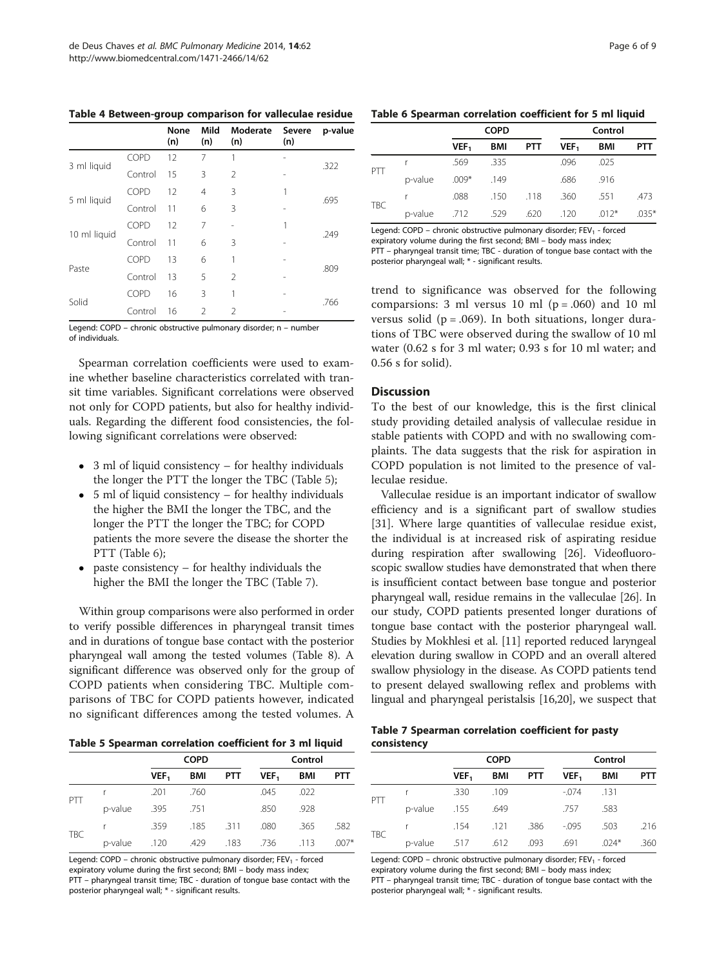<span id="page-5-0"></span>

|  |  |  | Table 4 Between-group comparison for valleculae residue |  |  |  |  |  |  |  |
|--|--|--|---------------------------------------------------------|--|--|--|--|--|--|--|
|--|--|--|---------------------------------------------------------|--|--|--|--|--|--|--|

|              |         | None<br>(n) | Mild<br>(n)    | Moderate<br>(n) | Severe<br>(n) | p-value |
|--------------|---------|-------------|----------------|-----------------|---------------|---------|
| 3 ml liquid  | COPD    | 12          | 7              | 1               |               | .322    |
|              | Control | 15          | 3              | $\mathfrak{D}$  |               |         |
| 5 ml liquid  | COPD    | 12          | $\overline{4}$ | 3               | 1             | .695    |
|              | Control | 11          | 6              | 3               |               |         |
|              | COPD    | 12          | 7              |                 | 1             |         |
| 10 ml liquid | Control | 11          | 6              | 3               |               | .249    |
|              | COPD    | 13          | 6              | 1               |               | .809    |
| Paste        | Control | 13          | 5              | $\mathfrak{D}$  |               |         |
|              | COPD    | 16          | 3              | 1               |               |         |
| Solid        | Control | 16          | $\mathfrak{D}$ | 2               |               | .766    |

Legend: COPD – chronic obstructive pulmonary disorder; n – number of individuals.

Spearman correlation coefficients were used to examine whether baseline characteristics correlated with transit time variables. Significant correlations were observed not only for COPD patients, but also for healthy individuals. Regarding the different food consistencies, the following significant correlations were observed:

- 3 ml of liquid consistency for healthy individuals the longer the PTT the longer the TBC (Table 5);
- 5 ml of liquid consistency for healthy individuals the higher the BMI the longer the TBC, and the longer the PTT the longer the TBC; for COPD patients the more severe the disease the shorter the PTT (Table 6);
- paste consistency for healthy individuals the higher the BMI the longer the TBC (Table 7).

Within group comparisons were also performed in order to verify possible differences in pharyngeal transit times and in durations of tongue base contact with the posterior pharyngeal wall among the tested volumes (Table [8](#page-6-0)). A significant difference was observed only for the group of COPD patients when considering TBC. Multiple comparisons of TBC for COPD patients however, indicated no significant differences among the tested volumes. A

Table 5 Spearman correlation coefficient for 3 ml liquid

|            |         | <b>COPD</b>      |      |            |                  | Control    |         |
|------------|---------|------------------|------|------------|------------------|------------|---------|
|            |         | VEF <sub>1</sub> | BMI  | <b>PTT</b> | VEF <sub>1</sub> | <b>BMI</b> | PTT     |
|            |         | .201             | .760 |            | .045             | .022       |         |
| PTT        | p-value | .395             | .751 |            | .850             | .928       |         |
|            |         | .359             | .185 | .311       | .080             | .365       | .582    |
| <b>TBC</b> | p-value | .120             | .429 | .183       | .736             | .113       | $.007*$ |

Legend: COPD – chronic obstructive pulmonary disorder;  $FEV<sub>1</sub>$  - forced

expiratory volume during the first second; BMI – body mass index;

PTT – pharyngeal transit time; TBC - duration of tongue base contact with the posterior pharyngeal wall; \* - significant results.

Table 6 Spearman correlation coefficient for 5 ml liquid

|            |         | <b>COPD</b>      |            |            |                  | Control    |         |
|------------|---------|------------------|------------|------------|------------------|------------|---------|
|            |         | VEF <sub>1</sub> | <b>BMI</b> | <b>PTT</b> | VEF <sub>1</sub> | <b>BMI</b> | PTT     |
|            |         | .569             | .335       |            | .096             | .025       |         |
| PTT        | p-value | $.009*$          | .149       |            | .686             | .916       |         |
|            |         | .088             | .150       | .118       | .360             | .551       | .473    |
| <b>TBC</b> | p-value | .712             | .529       | .620       | .120             | $.012*$    | $.035*$ |

Legend: COPD – chronic obstructive pulmonary disorder;  $FEV_1$  - forced

expiratory volume during the first second; BMI – body mass index;

PTT – pharyngeal transit time; TBC - duration of tongue base contact with the posterior pharyngeal wall; \* - significant results.

trend to significance was observed for the following comparsions: 3 ml versus 10 ml  $(p = .060)$  and 10 ml versus solid ( $p = .069$ ). In both situations, longer durations of TBC were observed during the swallow of 10 ml water (0.62 s for 3 ml water; 0.93 s for 10 ml water; and 0.56 s for solid).

## Discussion

To the best of our knowledge, this is the first clinical study providing detailed analysis of valleculae residue in stable patients with COPD and with no swallowing complaints. The data suggests that the risk for aspiration in COPD population is not limited to the presence of valleculae residue.

Valleculae residue is an important indicator of swallow efficiency and is a significant part of swallow studies [[31\]](#page-8-0). Where large quantities of valleculae residue exist, the individual is at increased risk of aspirating residue during respiration after swallowing [[26](#page-8-0)]. Videofluoroscopic swallow studies have demonstrated that when there is insufficient contact between base tongue and posterior pharyngeal wall, residue remains in the valleculae [\[26\]](#page-8-0). In our study, COPD patients presented longer durations of tongue base contact with the posterior pharyngeal wall. Studies by Mokhlesi et al. [[11](#page-7-0)] reported reduced laryngeal elevation during swallow in COPD and an overall altered swallow physiology in the disease. As COPD patients tend to present delayed swallowing reflex and problems with lingual and pharyngeal peristalsis [\[16](#page-7-0)[,20\]](#page-8-0), we suspect that

| Table 7 Spearman correlation coefficient for pasty |  |  |
|----------------------------------------------------|--|--|
| consistency                                        |  |  |

|     |         | <b>COPD</b>      |            |            |                  | Control    |      |
|-----|---------|------------------|------------|------------|------------------|------------|------|
|     |         | VEF <sub>1</sub> | <b>BMI</b> | <b>PTT</b> | VEF <sub>1</sub> | <b>BMI</b> | PTT  |
|     |         | .330             | .109       |            | $-0.074$         | .131       |      |
| PTT | p-value | .155             | .649       |            | .757             | .583       |      |
|     |         | .154             | .121       | .386       | $-0.095$         | .503       | .216 |
| TBC | p-value | .517             | .612       | .093       | .691             | $.024*$    | .360 |

Legend: COPD – chronic obstructive pulmonary disorder;  $FEV<sub>1</sub>$  - forced expiratory volume during the first second; BMI – body mass index;

PTT – pharyngeal transit time; TBC - duration of tongue base contact with the posterior pharyngeal wall; \* - significant results.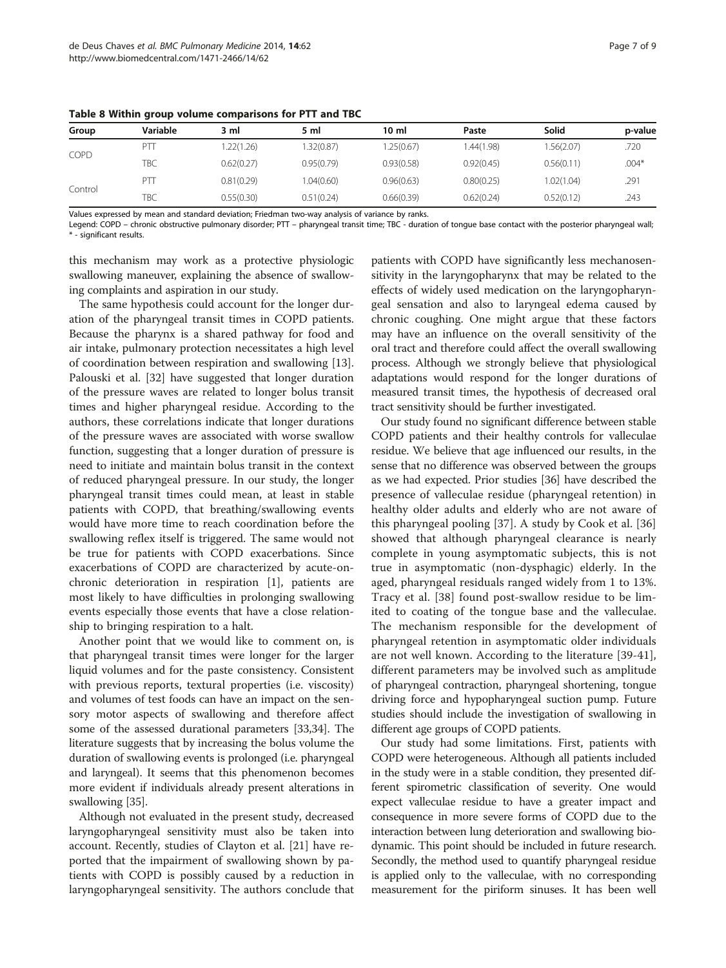| Group   | Variable | 3 ml       | 5 ml                                   | 10 ml      | Paste      | Solid      | p-value |
|---------|----------|------------|----------------------------------------|------------|------------|------------|---------|
| COPD    | PTT      | 1.22(1.26) | 1.32(0.87)                             | .25(0.67)  | 1.44(1.98) | 1.56(2.07) | .720    |
|         | TBC      | 0.62(0.27) | 0.93(0.58)<br>0.92(0.45)<br>0.95(0.79) | 0.56(0.11) | $.004*$    |            |         |
| Control | PTT      | 0.81(0.29) | 1.04(0.60)                             | 0.96(0.63) | 0.80(0.25) | 1.02(1.04) | .291    |
|         | TBC      | 0.55(0.30) | 0.51(0.24)                             | 0.66(0.39) | 0.62(0.24) | 0.52(0.12) | .243    |

<span id="page-6-0"></span>Table 8 Within group volume comparisons for PTT and TBC

Values expressed by mean and standard deviation; Friedman two-way analysis of variance by ranks.

Legend: COPD – chronic obstructive pulmonary disorder; PTT – pharyngeal transit time; TBC - duration of tongue base contact with the posterior pharyngeal wall; \* - significant results.

this mechanism may work as a protective physiologic swallowing maneuver, explaining the absence of swallowing complaints and aspiration in our study.

The same hypothesis could account for the longer duration of the pharyngeal transit times in COPD patients. Because the pharynx is a shared pathway for food and air intake, pulmonary protection necessitates a high level of coordination between respiration and swallowing [\[13](#page-7-0)]. Palouski et al. [[32\]](#page-8-0) have suggested that longer duration of the pressure waves are related to longer bolus transit times and higher pharyngeal residue. According to the authors, these correlations indicate that longer durations of the pressure waves are associated with worse swallow function, suggesting that a longer duration of pressure is need to initiate and maintain bolus transit in the context of reduced pharyngeal pressure. In our study, the longer pharyngeal transit times could mean, at least in stable patients with COPD, that breathing/swallowing events would have more time to reach coordination before the swallowing reflex itself is triggered. The same would not be true for patients with COPD exacerbations. Since exacerbations of COPD are characterized by acute-onchronic deterioration in respiration [\[1](#page-7-0)], patients are most likely to have difficulties in prolonging swallowing events especially those events that have a close relationship to bringing respiration to a halt.

Another point that we would like to comment on, is that pharyngeal transit times were longer for the larger liquid volumes and for the paste consistency. Consistent with previous reports, textural properties (i.e. viscosity) and volumes of test foods can have an impact on the sensory motor aspects of swallowing and therefore affect some of the assessed durational parameters [\[33,34](#page-8-0)]. The literature suggests that by increasing the bolus volume the duration of swallowing events is prolonged (i.e. pharyngeal and laryngeal). It seems that this phenomenon becomes more evident if individuals already present alterations in swallowing [\[35\]](#page-8-0).

Although not evaluated in the present study, decreased laryngopharyngeal sensitivity must also be taken into account. Recently, studies of Clayton et al. [\[21](#page-8-0)] have reported that the impairment of swallowing shown by patients with COPD is possibly caused by a reduction in laryngopharyngeal sensitivity. The authors conclude that

patients with COPD have significantly less mechanosensitivity in the laryngopharynx that may be related to the effects of widely used medication on the laryngopharyngeal sensation and also to laryngeal edema caused by chronic coughing. One might argue that these factors may have an influence on the overall sensitivity of the oral tract and therefore could affect the overall swallowing process. Although we strongly believe that physiological adaptations would respond for the longer durations of measured transit times, the hypothesis of decreased oral tract sensitivity should be further investigated.

Our study found no significant difference between stable COPD patients and their healthy controls for valleculae residue. We believe that age influenced our results, in the sense that no difference was observed between the groups as we had expected. Prior studies [[36\]](#page-8-0) have described the presence of valleculae residue (pharyngeal retention) in healthy older adults and elderly who are not aware of this pharyngeal pooling [\[37](#page-8-0)]. A study by Cook et al. [\[36](#page-8-0)] showed that although pharyngeal clearance is nearly complete in young asymptomatic subjects, this is not true in asymptomatic (non-dysphagic) elderly. In the aged, pharyngeal residuals ranged widely from 1 to 13%. Tracy et al. [[38\]](#page-8-0) found post-swallow residue to be limited to coating of the tongue base and the valleculae. The mechanism responsible for the development of pharyngeal retention in asymptomatic older individuals are not well known. According to the literature [\[39](#page-8-0)-[41](#page-8-0)], different parameters may be involved such as amplitude of pharyngeal contraction, pharyngeal shortening, tongue driving force and hypopharyngeal suction pump. Future studies should include the investigation of swallowing in different age groups of COPD patients.

Our study had some limitations. First, patients with COPD were heterogeneous. Although all patients included in the study were in a stable condition, they presented different spirometric classification of severity. One would expect valleculae residue to have a greater impact and consequence in more severe forms of COPD due to the interaction between lung deterioration and swallowing biodynamic. This point should be included in future research. Secondly, the method used to quantify pharyngeal residue is applied only to the valleculae, with no corresponding measurement for the piriform sinuses. It has been well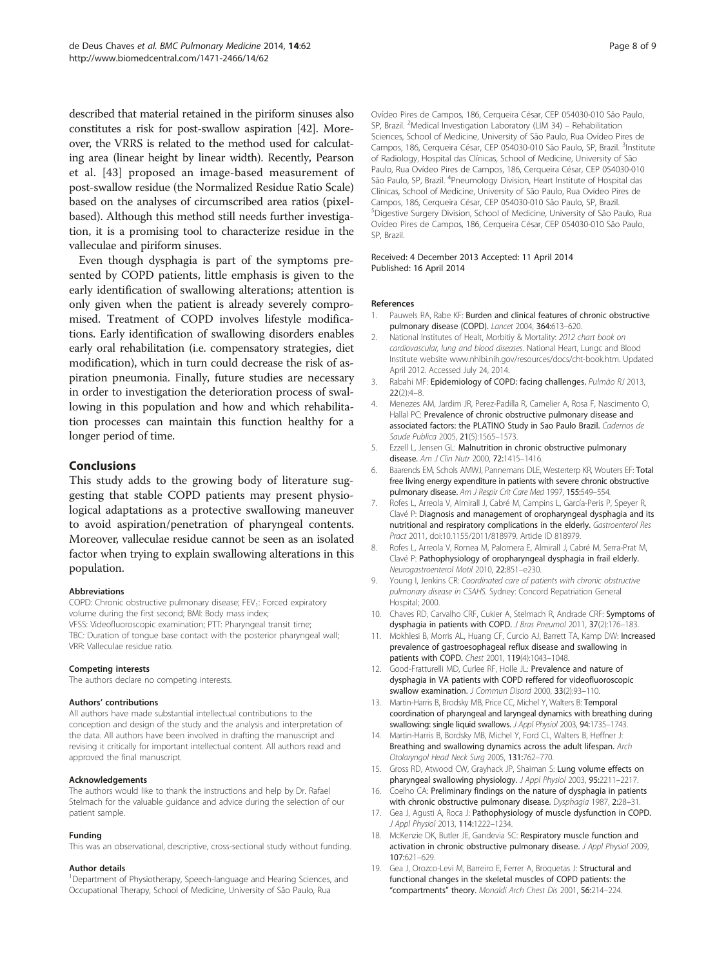<span id="page-7-0"></span>described that material retained in the piriform sinuses also constitutes a risk for post-swallow aspiration [[42](#page-8-0)]. Moreover, the VRRS is related to the method used for calculating area (linear height by linear width). Recently, Pearson et al. [\[43](#page-8-0)] proposed an image-based measurement of post-swallow residue (the Normalized Residue Ratio Scale) based on the analyses of circumscribed area ratios (pixelbased). Although this method still needs further investigation, it is a promising tool to characterize residue in the valleculae and piriform sinuses.

Even though dysphagia is part of the symptoms presented by COPD patients, little emphasis is given to the early identification of swallowing alterations; attention is only given when the patient is already severely compromised. Treatment of COPD involves lifestyle modifications. Early identification of swallowing disorders enables early oral rehabilitation (i.e. compensatory strategies, diet modification), which in turn could decrease the risk of aspiration pneumonia. Finally, future studies are necessary in order to investigation the deterioration process of swallowing in this population and how and which rehabilitation processes can maintain this function healthy for a longer period of time.

## Conclusions

This study adds to the growing body of literature suggesting that stable COPD patients may present physiological adaptations as a protective swallowing maneuver to avoid aspiration/penetration of pharyngeal contents. Moreover, valleculae residue cannot be seen as an isolated factor when trying to explain swallowing alterations in this population.

#### Abbreviations

COPD: Chronic obstructive pulmonary disease; FEV<sub>1</sub>: Forced expiratory volume during the first second; BMI: Body mass index; VFSS: Videofluoroscopic examination; PTT: Pharyngeal transit time; TBC: Duration of tongue base contact with the posterior pharyngeal wall; VRR: Valleculae residue ratio.

#### Competing interests

The authors declare no competing interests.

#### Authors' contributions

All authors have made substantial intellectual contributions to the conception and design of the study and the analysis and interpretation of the data. All authors have been involved in drafting the manuscript and revising it critically for important intellectual content. All authors read and approved the final manuscript.

#### Acknowledgements

The authors would like to thank the instructions and help by Dr. Rafael Stelmach for the valuable guidance and advice during the selection of our patient sample.

#### Funding

This was an observational, descriptive, cross-sectional study without funding.

#### Author details

<sup>1</sup>Department of Physiotherapy, Speech-language and Hearing Sciences, and Occupational Therapy, School of Medicine, University of São Paulo, Rua

Ovídeo Pires de Campos, 186, Cerqueira César, CEP 054030-010 São Paulo, SP, Brazil. <sup>2</sup>Medical Investigation Laboratory (LIM 34) - Rehabilitation Sciences, School of Medicine, University of São Paulo, Rua Ovídeo Pires de Campos, 186, Cerqueira César, CEP 054030-010 São Paulo, SP, Brazil. <sup>3</sup>Institute of Radiology, Hospital das Clínicas, School of Medicine, University of São Paulo, Rua Ovídeo Pires de Campos, 186, Cerqueira César, CEP 054030-010 São Paulo, SP, Brazil. <sup>4</sup>Pneumology Division, Heart Institute of Hospital das Clínicas, School of Medicine, University of São Paulo, Rua Ovídeo Pires de Campos, 186, Cerqueira César, CEP 054030-010 São Paulo, SP, Brazil. 5 Digestive Surgery Division, School of Medicine, University of São Paulo, Rua Ovídeo Pires de Campos, 186, Cerqueira César, CEP 054030-010 São Paulo, SP, Brazil.

#### Received: 4 December 2013 Accepted: 11 April 2014 Published: 16 April 2014

#### References

- Pauwels RA, Rabe KF: Burden and clinical features of chronic obstructive pulmonary disease (COPD). Lancet 2004, 364:613–620.
- 2. National Institutes of Healt, Morbitiv & Mortality: 2012 chart book on cardiovascular, lung and blood diseases. National Heart, Lungc and Blood Institute website [www.nhlbi.nih.gov/resources/docs/cht-book.htm.](http://www.nhlbi.nih.gov/resources/docs/cht-book.htm) Updated April 2012. Accessed July 24, 2014.
- 3. Rabahi MF: Epidemiology of COPD: facing challenges. Pulmão RJ 2013, 22(2):4–8.
- 4. Menezes AM, Jardim JR, Perez-Padilla R, Camelier A, Rosa F, Nascimento O, Hallal PC: Prevalence of chronic obstructive pulmonary disease and associated factors: the PLATINO Study in Sao Paulo Brazil. Cadernos de Saude Publica 2005, 21(5):1565–1573.
- 5. Ezzell L, Jensen GL: Malnutrition in chronic obstructive pulmonary disease. Am J Clin Nutr 2000, 72:1415–1416.
- 6. Baarends EM, Schols AMWJ, Pannemans DLE, Westerterp KR, Wouters EF: Total free living energy expenditure in patients with severe chronic obstructive pulmonary disease. Am J Respir Crit Care Med 1997, 155:549-554.
- 7. Rofes L, Arreola V, Almirall J, Cabré M, Campins L, García-Peris P, Speyer R, Clavé P: Diagnosis and management of oropharyngeal dysphagia and its nutritional and respiratory complications in the elderly. Gastroenterol Res Pract 2011, doi:10.1155/2011/818979. Article ID 818979.
- 8. Rofes L, Arreola V, Romea M, Palomera E, Almirall J, Cabré M, Serra-Prat M, Clavé P: Pathophysiology of oropharyngeal dysphagia in frail elderly. Neurogastroenterol Motil 2010, 22:851–e230.
- 9. Young I, Jenkins CR: Coordinated care of patients with chronic obstructive pulmonary disease in CSAHS. Sydney: Concord Repatriation General Hospital; 2000.
- 10. Chaves RD, Carvalho CRF, Cukier A, Stelmach R, Andrade CRF: Symptoms of dysphagia in patients with COPD. J Bras Pneumol 2011, 37(2):176-183.
- 11. Mokhlesi B, Morris AL, Huang CF, Curcio AJ, Barrett TA, Kamp DW: Increased prevalence of gastroesophageal reflux disease and swallowing in patients with COPD. Chest 2001, 119(4):1043–1048.
- 12. Good-Fratturelli MD, Curlee RF, Holle JL: Prevalence and nature of dysphagia in VA patients with COPD reffered for videofluoroscopic swallow examination. J Commun Disord 2000, 33(2):93–110.
- 13. Martin-Harris B, Brodsky MB, Price CC, Michel Y, Walters B: Temporal coordination of pharyngeal and laryngeal dynamics with breathing during swallowing: single liquid swallows. J Appl Physiol 2003, 94:1735–1743.
- 14. Martin-Harris B, Bordsky MB, Michel Y, Ford CL, Walters B, Heffner J: Breathing and swallowing dynamics across the adult lifespan. Arch Otolaryngol Head Neck Surg 2005, 131:762–770.
- 15. Gross RD, Atwood CW, Grayhack JP, Shaiman S: Lung volume effects on pharyngeal swallowing physiology. J Appl Physiol 2003, 95:2211-2217.
- 16. Coelho CA: Preliminary findings on the nature of dysphagia in patients with chronic obstructive pulmonary disease. Dysphagia 1987, 2:28-31.
- 17. Gea J, Agusti A, Roca J: Pathophysiology of muscle dysfunction in COPD. J Appl Physiol 2013, 114:1222–1234.
- 18. McKenzie DK, Butler JE, Gandevia SC: Respiratory muscle function and activation in chronic obstructive pulmonary disease. J Appl Physiol 2009, 107:621–629.
- 19. Gea J, Orozco-Levi M, Barreiro E, Ferrer A, Broquetas J: Structural and functional changes in the skeletal muscles of COPD patients: the "compartments" theory. Monaldi Arch Chest Dis 2001, 56:214–224.